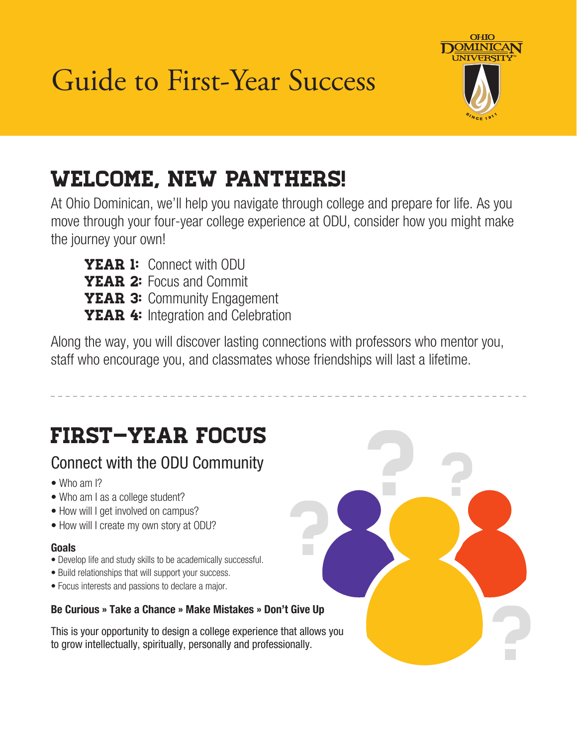Guide to First-Year Success



? ?

?

# Welcome, New Panthers!

At Ohio Dominican, we'll help you navigate through college and prepare for life. As you move through your four-year college experience at ODU, consider how you might make the journey your own!

**YEAR 1:** Connect with ODU YEAR 2: Focus and Commit YEAR 3: Community Engagement **YEAR 4:** Integration and Celebration

Along the way, you will discover lasting connections with professors who mentor you, staff who encourage you, and classmates whose friendships will last a lifetime.

?

# FIRST–YEAR FOCUS

# Connect with the ODU Community

- Who am I?
- Who am I as a college student?
- How will I get involved on campus?
- How will I create my own story at ODU?

### Goals

- Develop life and study skills to be academically successful.
- Build relationships that will support your success.
- Focus interests and passions to declare a major.

#### Be Curious » Take a Chance » Make Mistakes » Don't Give Up

This is your opportunity to design a college experience that allows you to grow intellectually, spiritually, personally and professionally.